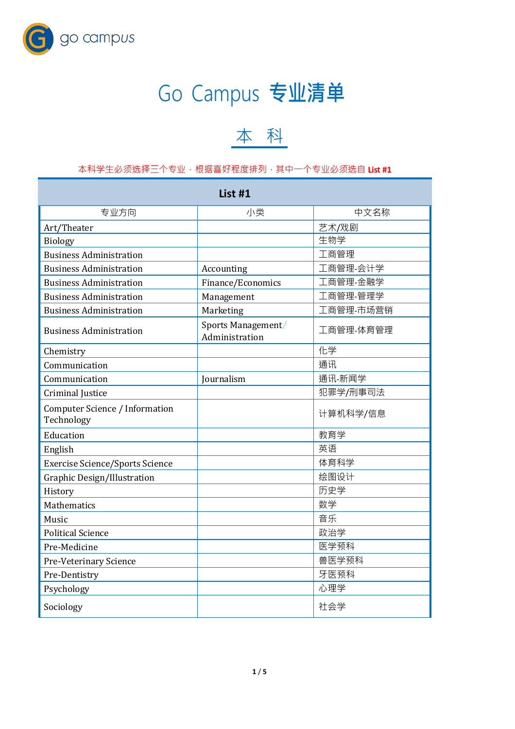

## Go Campus **专业清单**

## 本 科

## 本科学生必须选择三个专业,根据喜好程度排列,其中一个专业必须选自 **List #1**

| List #1                                      |                                      |           |  |  |
|----------------------------------------------|--------------------------------------|-----------|--|--|
| 专业方向                                         | 小类                                   | 中文名称      |  |  |
| Art/Theater                                  |                                      | 艺术/戏剧     |  |  |
| <b>Biology</b>                               |                                      | 生物学       |  |  |
| <b>Business Administration</b>               |                                      | 工商管理      |  |  |
| <b>Business Administration</b>               | Accounting                           | 工商管理-会计学  |  |  |
| <b>Business Administration</b>               | Finance/Economics                    | 工商管理-金融学  |  |  |
| <b>Business Administration</b>               | Management                           | 工商管理-管理学  |  |  |
| <b>Business Administration</b>               | Marketing                            | 工商管理-市场营销 |  |  |
| <b>Business Administration</b>               | Sports Management/<br>Administration | 工商管理-体育管理 |  |  |
| Chemistry                                    |                                      | 化学        |  |  |
| Communication                                |                                      | 通讯        |  |  |
| Communication                                | Journalism                           | 通讯-新闻学    |  |  |
| Criminal Justice                             |                                      | 犯罪学/刑事司法  |  |  |
| Computer Science / Information<br>Technology |                                      | 计算机科学/信息  |  |  |
| Education                                    |                                      | 教育学       |  |  |
| English                                      |                                      | 英语        |  |  |
| <b>Exercise Science/Sports Science</b>       |                                      | 体育科学      |  |  |
| Graphic Design/Illustration                  |                                      | 绘图设计      |  |  |
| History                                      |                                      | 历史学       |  |  |
| <b>Mathematics</b>                           |                                      | 数学        |  |  |
| Music                                        |                                      | 音乐        |  |  |
| <b>Political Science</b>                     |                                      | 政治学       |  |  |
| Pre-Medicine                                 |                                      | 医学预科      |  |  |
| Pre-Veterinary Science                       |                                      | 兽医学预科     |  |  |
| Pre-Dentistry                                |                                      | 牙医预科      |  |  |
| Psychology                                   |                                      | 心理学       |  |  |
| Sociology                                    |                                      | 社会学       |  |  |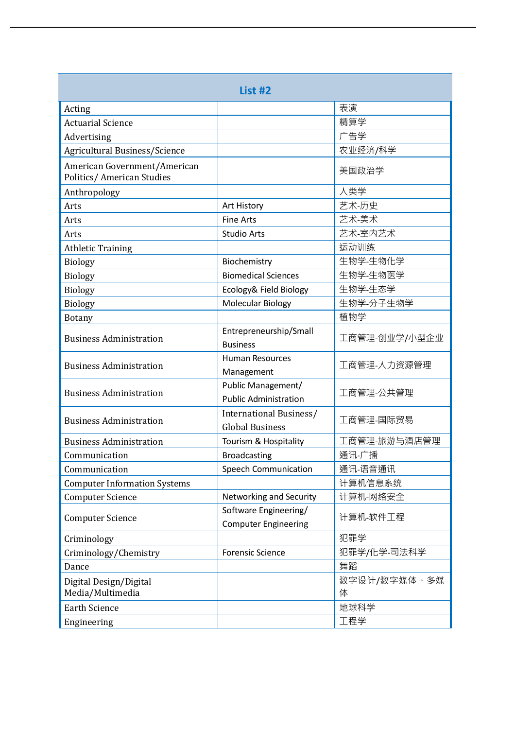| List #2                                                          |                                                      |                   |  |
|------------------------------------------------------------------|------------------------------------------------------|-------------------|--|
| Acting                                                           |                                                      | 表演                |  |
| <b>Actuarial Science</b>                                         |                                                      | 精算学               |  |
| Advertising                                                      |                                                      | 广告学               |  |
| Agricultural Business/Science                                    |                                                      | 农业经济/科学           |  |
| American Government/American<br><b>Politics/American Studies</b> |                                                      | 美国政治学             |  |
| Anthropology                                                     |                                                      | 人类学               |  |
| Arts                                                             | Art History                                          | 艺术-历史             |  |
| Arts                                                             | <b>Fine Arts</b>                                     | 艺术-美术             |  |
| Arts                                                             | <b>Studio Arts</b>                                   | 艺术-室内艺术           |  |
| <b>Athletic Training</b>                                         |                                                      | 运动训练              |  |
| <b>Biology</b>                                                   | Biochemistry                                         | 生物学-生物化学          |  |
| <b>Biology</b>                                                   | <b>Biomedical Sciences</b>                           | 生物学-生物医学          |  |
| <b>Biology</b>                                                   | Ecology& Field Biology                               | 生物学-生态学           |  |
| <b>Biology</b>                                                   | <b>Molecular Biology</b>                             | 生物学-分子生物学         |  |
| <b>Botany</b>                                                    |                                                      | 植物学               |  |
| <b>Business Administration</b>                                   | Entrepreneurship/Small<br><b>Business</b>            | 工商管理-创业学/小型企业     |  |
| <b>Business Administration</b>                                   | <b>Human Resources</b><br>Management                 | 工商管理-人力资源管理       |  |
| <b>Business Administration</b>                                   | Public Management/<br><b>Public Administration</b>   | 工商管理-公共管理         |  |
| <b>Business Administration</b>                                   | International Business/<br><b>Global Business</b>    | 工商管理-国际贸易         |  |
| <b>Business Administration</b>                                   | Tourism & Hospitality                                | 工商管理-旅游与酒店管理      |  |
| Communication                                                    | <b>Broadcasting</b>                                  | 通讯-广播             |  |
| Communication                                                    | <b>Speech Communication</b>                          | 通讯-语音通讯           |  |
| <b>Computer Information Systems</b>                              |                                                      | 计算机信息系统           |  |
| <b>Computer Science</b>                                          | Networking and Security                              | 计算机-网络安全          |  |
| <b>Computer Science</b>                                          | Software Engineering/<br><b>Computer Engineering</b> | 计算机-软件工程          |  |
| Criminology                                                      |                                                      | 犯罪学               |  |
| Criminology/Chemistry                                            | <b>Forensic Science</b>                              | 犯罪学/化学-司法科学       |  |
| Dance                                                            |                                                      | 舞蹈                |  |
| Digital Design/Digital<br>Media/Multimedia                       |                                                      | 数字设计/数字媒体、多媒<br>体 |  |
| <b>Earth Science</b>                                             |                                                      | 地球科学              |  |
| Engineering                                                      |                                                      | 工程学               |  |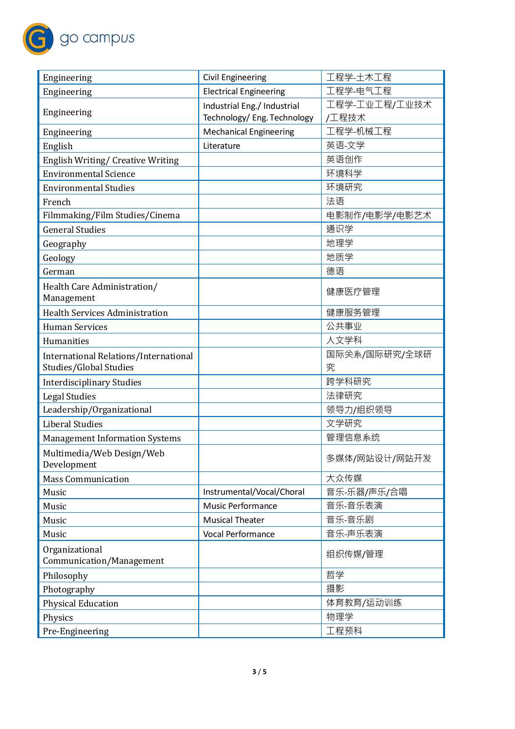

| Engineering                                                     | <b>Civil Engineering</b>      | 工程学-土木工程           |
|-----------------------------------------------------------------|-------------------------------|--------------------|
| Engineering                                                     | <b>Electrical Engineering</b> | 工程学-电气工程           |
| Engineering                                                     | Industrial Eng./ Industrial   | 工程学-工业工程/工业技术      |
|                                                                 | Technology/ Eng. Technology   | /工程技术              |
| Engineering                                                     | <b>Mechanical Engineering</b> | 工程学-机械工程           |
| English                                                         | Literature                    | 英语-文学              |
| English Writing/ Creative Writing                               |                               | 英语创作               |
| <b>Environmental Science</b>                                    |                               | 环境科学               |
| <b>Environmental Studies</b>                                    |                               | 环境研究               |
| French                                                          |                               | 法语                 |
| Filmmaking/Film Studies/Cinema                                  |                               | 电影制作/电影学/电影艺术      |
| <b>General Studies</b>                                          |                               | 通识学                |
| Geography                                                       |                               | 地理学                |
| Geology                                                         |                               | 地质学                |
| German                                                          |                               | 德语                 |
| Health Care Administration/<br>Management                       |                               | 健康医疗管理             |
| <b>Health Services Administration</b>                           |                               | 健康服务管理             |
| <b>Human Services</b>                                           |                               | 公共事业               |
| Humanities                                                      |                               | 人文学科               |
| International Relations/International<br>Studies/Global Studies |                               | 国际关系/国际研究/全球研<br>究 |
| <b>Interdisciplinary Studies</b>                                |                               | 跨学科研究              |
| <b>Legal Studies</b>                                            |                               | 法律研究               |
| Leadership/Organizational                                       |                               | 领导力/组织领导           |
| <b>Liberal Studies</b>                                          |                               | 文学研究               |
| <b>Management Information Systems</b>                           |                               | 管理信息系统             |
| Multimedia/Web Design/Web<br>Development                        |                               | 多媒体/网站设计/网站开发      |
| <b>Mass Communication</b>                                       |                               | 大众传媒               |
| Music                                                           | Instrumental/Vocal/Choral     | 音乐-乐器/声乐/合唱        |
| Music                                                           | <b>Music Performance</b>      | 音乐-音乐表演            |
| Music                                                           | <b>Musical Theater</b>        | 音乐-音乐剧             |
| Music                                                           | <b>Vocal Performance</b>      | 音乐-声乐表演            |
| Organizational<br>Communication/Management                      |                               | 组织传媒/管理            |
| Philosophy                                                      |                               | 哲学                 |
| Photography                                                     |                               | 摄影                 |
| <b>Physical Education</b>                                       |                               | 体育教育/运动训练          |
| Physics                                                         |                               | 物理学                |
| Pre-Engineering                                                 |                               | 工程预科               |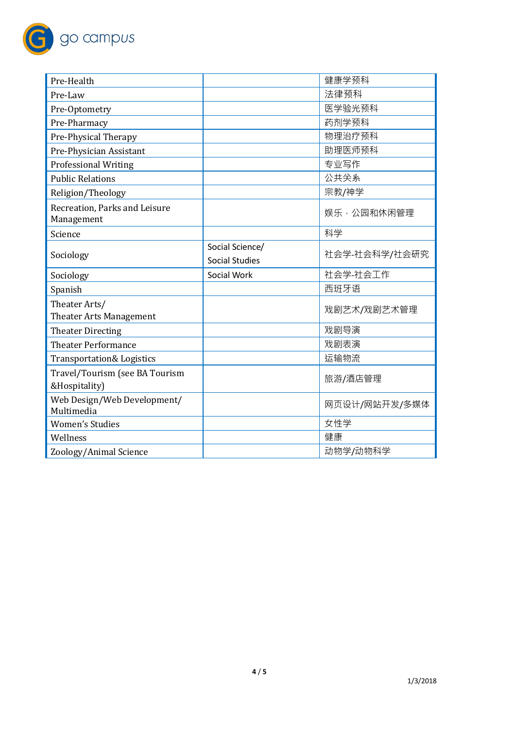

| Pre-Health                                      |                       | 健康学预科         |
|-------------------------------------------------|-----------------------|---------------|
| Pre-Law                                         |                       | 法律预科          |
| Pre-Optometry                                   |                       | 医学验光预科        |
| Pre-Pharmacy                                    |                       | 药剂学预科         |
| Pre-Physical Therapy                            |                       | 物理治疗预科        |
| Pre-Physician Assistant                         |                       | 助理医师预科        |
| <b>Professional Writing</b>                     |                       | 专业写作          |
| <b>Public Relations</b>                         |                       | 公共关系          |
| Religion/Theology                               |                       | 宗教/神学         |
| Recreation, Parks and Leisure<br>Management     |                       | 娱乐·公园和休闲管理    |
| Science                                         |                       | 科学            |
|                                                 | Social Science/       | 社会学-社会科学/社会研究 |
| Sociology                                       | <b>Social Studies</b> |               |
|                                                 |                       |               |
| Sociology                                       | Social Work           | 社会学-社会工作      |
| Spanish                                         |                       | 西班牙语          |
| Theater Arts/<br><b>Theater Arts Management</b> |                       | 戏剧艺术/戏剧艺术管理   |
| <b>Theater Directing</b>                        |                       | 戏剧导演          |
| <b>Theater Performance</b>                      |                       | 戏剧表演          |
| <b>Transportation&amp; Logistics</b>            |                       | 运输物流          |
| Travel/Tourism (see BA Tourism<br>&Hospitality) |                       | 旅游/酒店管理       |
| Web Design/Web Development/<br>Multimedia       |                       | 网页设计/网站开发/多媒体 |
| <b>Women's Studies</b>                          |                       | 女性学           |
| Wellness                                        |                       | 健康            |